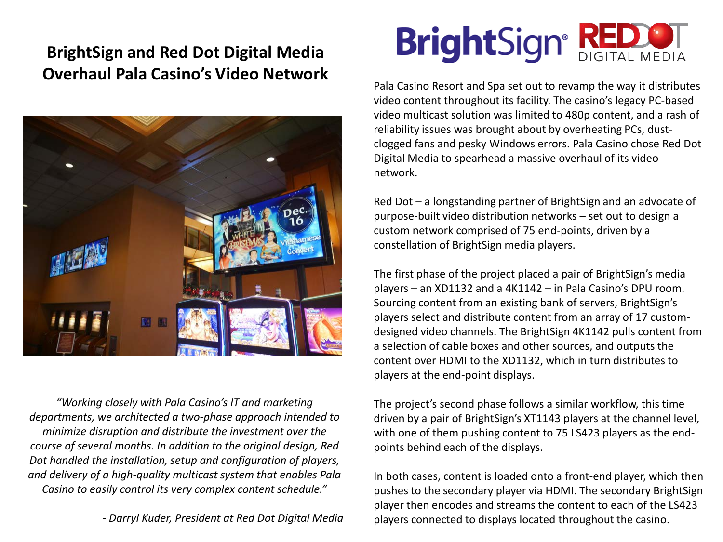## **BrightSign and Red Dot Digital Media Overhaul Pala Casino's Video Network**



*"Working closely with Pala Casino's IT and marketing departments, we architected a two-phase approach intended to minimize disruption and distribute the investment over the course of several months. In addition to the original design, Red Dot handled the installation, setup and configuration of players, and delivery of a high-quality multicast system that enables Pala Casino to easily control its very complex content schedule."*

*- Darryl Kuder, President at Red Dot Digital Media*

## **BrightSign® RED & THEORY**

Pala Casino Resort and Spa set out to revamp the way it distributes video content throughout its facility. The casino's legacy PC-based video multicast solution was limited to 480p content, and a rash of reliability issues was brought about by overheating PCs, dustclogged fans and pesky Windows errors. Pala Casino chose Red Dot Digital Media to spearhead a massive overhaul of its video network.

Red Dot – a longstanding partner of BrightSign and an advocate of purpose-built video distribution networks – set out to design a custom network comprised of 75 end-points, driven by a constellation of BrightSign media players.

The first phase of the project placed a pair of BrightSign's media players – an XD1132 and a 4K1142 – in Pala Casino's DPU room. Sourcing content from an existing bank of servers, BrightSign's players select and distribute content from an array of 17 customdesigned video channels. The BrightSign 4K1142 pulls content from a selection of cable boxes and other sources, and outputs the content over HDMI to the XD1132, which in turn distributes to players at the end-point displays.

The project's second phase follows a similar workflow, this time driven by a pair of BrightSign's XT1143 players at the channel level, with one of them pushing content to 75 LS423 players as the endpoints behind each of the displays.

In both cases, content is loaded onto a front-end player, which then pushes to the secondary player via HDMI. The secondary BrightSign player then encodes and streams the content to each of the LS423 players connected to displays located throughout the casino.